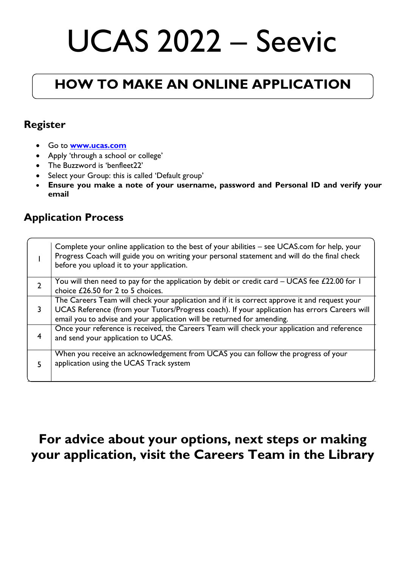# UCAS 2022 – Seevic

# **HOW TO MAKE AN ONLINE APPLICATION**

#### **Register**

- Go to **[www.ucas.com](http://www.ucas.com/)**
- Apply 'through a school or college'
- The Buzzword is 'benfleet22'
- Select your Group: this is called 'Default group'
- **Ensure you make a note of your username, password and Personal ID and verify your email**

#### **Application Process**

|                | Complete your online application to the best of your abilities – see UCAS.com for help, your<br>Progress Coach will guide you on writing your personal statement and will do the final check<br>before you upload it to your application.                                 |
|----------------|---------------------------------------------------------------------------------------------------------------------------------------------------------------------------------------------------------------------------------------------------------------------------|
| $\overline{2}$ | You will then need to pay for the application by debit or credit card $-$ UCAS fee £22.00 for 1<br>choice £26.50 for 2 to 5 choices.                                                                                                                                      |
| 3              | The Careers Team will check your application and if it is correct approve it and request your<br>UCAS Reference (from your Tutors/Progress coach). If your application has errors Careers will<br>email you to advise and your application will be returned for amending. |
| 4              | Once your reference is received, the Careers Team will check your application and reference<br>and send your application to UCAS.                                                                                                                                         |
| 5.             | When you receive an acknowledgement from UCAS you can follow the progress of your<br>application using the UCAS Track system                                                                                                                                              |

### **For advice about your options, next steps or making your application, visit the Careers Team in the Library**